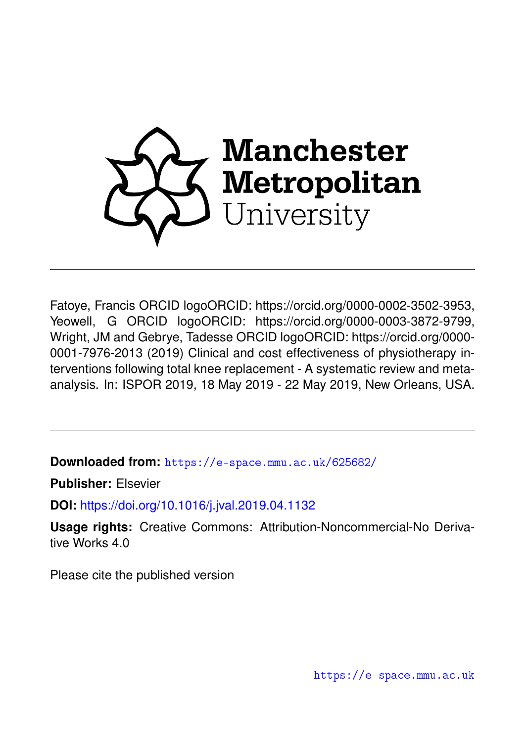

Fatoye, Francis ORCID logoORCID: https://orcid.org/0000-0002-3502-3953, Yeowell, G ORCID logoORCID: https://orcid.org/0000-0003-3872-9799, Wright, JM and Gebrye, Tadesse ORCID logoORCID: https://orcid.org/0000- 0001-7976-2013 (2019) Clinical and cost effectiveness of physiotherapy interventions following total knee replacement - A systematic review and metaanalysis. In: ISPOR 2019, 18 May 2019 - 22 May 2019, New Orleans, USA.

**Downloaded from:** <https://e-space.mmu.ac.uk/625682/>

**Publisher:** Elsevier

**DOI:** <https://doi.org/10.1016/j.jval.2019.04.1132>

**Usage rights:** Creative Commons: Attribution-Noncommercial-No Derivative Works 4.0

Please cite the published version

<https://e-space.mmu.ac.uk>